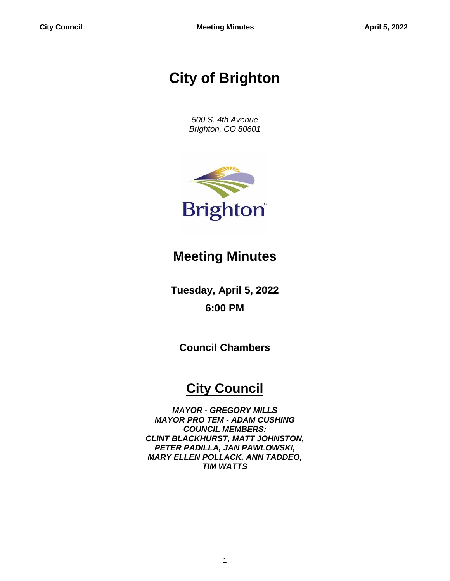# **City of Brighton**

*500 S. 4th Avenue Brighton, CO 80601*



## **Meeting Minutes**

**Tuesday, April 5, 2022 6:00 PM**

**Council Chambers**

## **City Council**

*MAYOR - GREGORY MILLS MAYOR PRO TEM - ADAM CUSHING COUNCIL MEMBERS: CLINT BLACKHURST, MATT JOHNSTON, PETER PADILLA, JAN PAWLOWSKI, MARY ELLEN POLLACK, ANN TADDEO, TIM WATTS*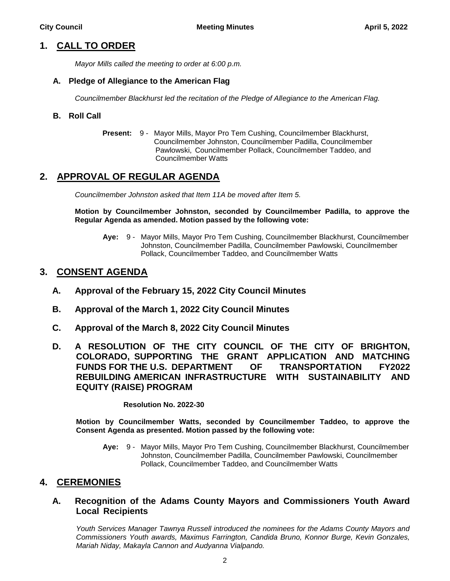## **1. CALL TO ORDER**

*Mayor Mills called the meeting to order at 6:00 p.m.*

### **A. Pledge of Allegiance to the American Flag**

*Councilmember Blackhurst led the recitation of the Pledge of Allegiance to the American Flag.*

### **B. Roll Call**

**Present:** 9 - Mayor Mills, Mayor Pro Tem Cushing, Councilmember Blackhurst, Councilmember Johnston, Councilmember Padilla, Councilmember Pawlowski, Councilmember Pollack, Councilmember Taddeo, and Councilmember Watts

## **2. APPROVAL OF REGULAR AGENDA**

*Councilmember Johnston asked that Item 11A be moved after Item 5.*

**Motion by Councilmember Johnston, seconded by Councilmember Padilla, to approve the Regular Agenda as amended. Motion passed by the following vote:**

**Aye:** 9 - Mayor Mills, Mayor Pro Tem Cushing, Councilmember Blackhurst, Councilmember Johnston, Councilmember Padilla, Councilmember Pawlowski, Councilmember Pollack, Councilmember Taddeo, and Councilmember Watts

## **3. CONSENT AGENDA**

- **A. Approval of the February 15, 2022 City Council Minutes**
- **B. Approval of the March 1, 2022 City Council Minutes**
- **C. Approval of the March 8, 2022 City Council Minutes**
- **D. A RESOLUTION OF THE CITY COUNCIL OF THE CITY OF BRIGHTON, COLORADO, SUPPORTING THE GRANT APPLICATION AND MATCHING FUNDS FOR THE U.S. DEPARTMENT OF TRANSPORTATION FY2022 REBUILDING AMERICAN INFRASTRUCTURE WITH SUSTAINABILITY AND EQUITY (RAISE) PROGRAM**

**Resolution No. 2022-30**

**Motion by Councilmember Watts, seconded by Councilmember Taddeo, to approve the Consent Agenda as presented. Motion passed by the following vote:**

**Aye:** 9 - Mayor Mills, Mayor Pro Tem Cushing, Councilmember Blackhurst, Councilmember Johnston, Councilmember Padilla, Councilmember Pawlowski, Councilmember Pollack, Councilmember Taddeo, and Councilmember Watts

## **4. CEREMONIES**

## **A. Recognition of the Adams County Mayors and Commissioners Youth Award Local Recipients**

*Youth Services Manager Tawnya Russell introduced the nominees for the Adams County Mayors and Commissioners Youth awards, Maximus Farrington, Candida Bruno, Konnor Burge, Kevin Gonzales, Mariah Niday, Makayla Cannon and Audyanna Vialpando.*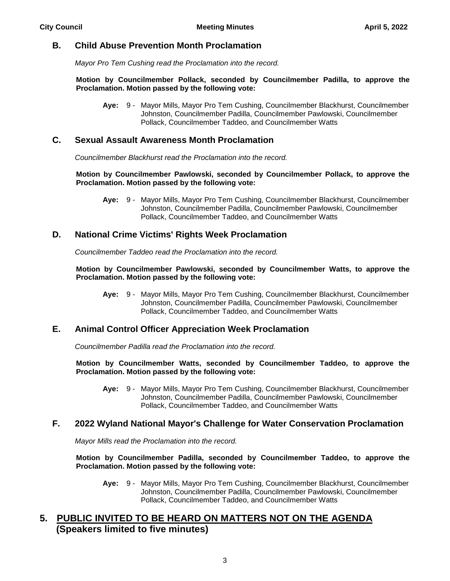## **B. Child Abuse Prevention Month Proclamation**

*Mayor Pro Tem Cushing read the Proclamation into the record.*

#### **Motion by Councilmember Pollack, seconded by Councilmember Padilla, to approve the Proclamation. Motion passed by the following vote:**

**Aye:** 9 - Mayor Mills, Mayor Pro Tem Cushing, Councilmember Blackhurst, Councilmember Johnston, Councilmember Padilla, Councilmember Pawlowski, Councilmember Pollack, Councilmember Taddeo, and Councilmember Watts

## **C. Sexual Assault Awareness Month Proclamation**

*Councilmember Blackhurst read the Proclamation into the record.*

#### **Motion by Councilmember Pawlowski, seconded by Councilmember Pollack, to approve the Proclamation. Motion passed by the following vote:**

**Aye:** 9 - Mayor Mills, Mayor Pro Tem Cushing, Councilmember Blackhurst, Councilmember Johnston, Councilmember Padilla, Councilmember Pawlowski, Councilmember Pollack, Councilmember Taddeo, and Councilmember Watts

## **D. National Crime Victims' Rights Week Proclamation**

*Councilmember Taddeo read the Proclamation into the record.*

#### **Motion by Councilmember Pawlowski, seconded by Councilmember Watts, to approve the Proclamation. Motion passed by the following vote:**

**Aye:** 9 - Mayor Mills, Mayor Pro Tem Cushing, Councilmember Blackhurst, Councilmember Johnston, Councilmember Padilla, Councilmember Pawlowski, Councilmember Pollack, Councilmember Taddeo, and Councilmember Watts

## **E. Animal Control Officer Appreciation Week Proclamation**

*Councilmember Padilla read the Proclamation into the record.*

**Motion by Councilmember Watts, seconded by Councilmember Taddeo, to approve the Proclamation. Motion passed by the following vote:**

**Aye:** 9 - Mayor Mills, Mayor Pro Tem Cushing, Councilmember Blackhurst, Councilmember Johnston, Councilmember Padilla, Councilmember Pawlowski, Councilmember Pollack, Councilmember Taddeo, and Councilmember Watts

## **F. 2022 Wyland National Mayor's Challenge for Water Conservation Proclamation**

*Mayor Mills read the Proclamation into the record.*

**Motion by Councilmember Padilla, seconded by Councilmember Taddeo, to approve the Proclamation. Motion passed by the following vote:**

**Aye:** 9 - Mayor Mills, Mayor Pro Tem Cushing, Councilmember Blackhurst, Councilmember Johnston, Councilmember Padilla, Councilmember Pawlowski, Councilmember Pollack, Councilmember Taddeo, and Councilmember Watts

## **5. PUBLIC INVITED TO BE HEARD ON MATTERS NOT ON THE AGENDA (Speakers limited to five minutes)**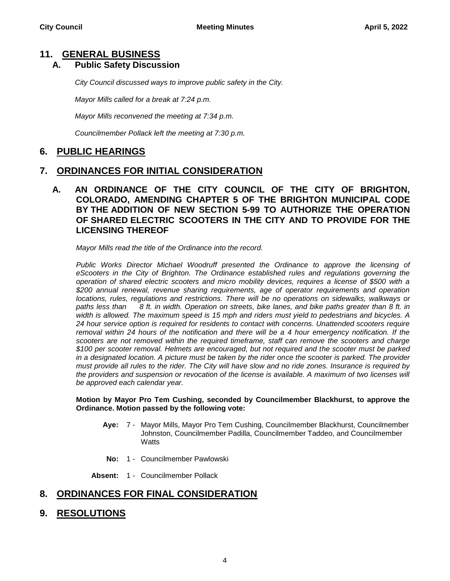## **11. GENERAL BUSINESS**

## **A. Public Safety Discussion**

*City Council discussed ways to improve public safety in the City.*

*Mayor Mills called for a break at 7:24 p.m.*

*Mayor Mills reconvened the meeting at 7:34 p.m.*

*Councilmember Pollack left the meeting at 7:30 p.m.*

## **6. PUBLIC HEARINGS**

## **7. ORDINANCES FOR INITIAL CONSIDERATION**

**A. AN ORDINANCE OF THE CITY COUNCIL OF THE CITY OF BRIGHTON, COLORADO, AMENDING CHAPTER 5 OF THE BRIGHTON MUNICIPAL CODE BY THE ADDITION OF NEW SECTION 5-99 TO AUTHORIZE THE OPERATION OF SHARED ELECTRIC SCOOTERS IN THE CITY AND TO PROVIDE FOR THE LICENSING THEREOF**

*Mayor Mills read the title of the Ordinance into the record.*

*Public Works Director Michael Woodruff presented the Ordinance to approve the licensing of eScooters in the City of Brighton. The Ordinance established rules and regulations governing the operation of shared electric scooters and micro mobility devices, requires a license of \$500 with a \$200 annual renewal, revenue sharing requirements, age of operator requirements and operation locations, rules, regulations and restrictions. There will be no operations on sidewalks, walkways or paths less than 8 ft. in width. Operation on streets, bike lanes, and bike paths greater than 8 ft. in width is allowed. The maximum speed is 15 mph and riders must yield to pedestrians and bicycles. A 24 hour service option is required for residents to contact with concerns. Unattended scooters require removal within 24 hours of the notification and there will be a 4 hour emergency notification. If the scooters are not removed within the required timeframe, staff can remove the scooters and charge \$100 per scooter removal. Helmets are encouraged, but not required and the scooter must be parked in a designated location. A picture must be taken by the rider once the scooter is parked. The provider must provide all rules to the rider. The City will have slow and no ride zones. Insurance is required by the providers and suspension or revocation of the license is available. A maximum of two licenses will be approved each calendar year.* 

#### **Motion by Mayor Pro Tem Cushing, seconded by Councilmember Blackhurst, to approve the Ordinance. Motion passed by the following vote:**

- **Aye:** 7 Mayor Mills, Mayor Pro Tem Cushing, Councilmember Blackhurst, Councilmember Johnston, Councilmember Padilla, Councilmember Taddeo, and Councilmember **Watts**
- **No:** 1 Councilmember Pawlowski

**Absent:** 1 - Councilmember Pollack

## **8. ORDINANCES FOR FINAL CONSIDERATION**

**9. RESOLUTIONS**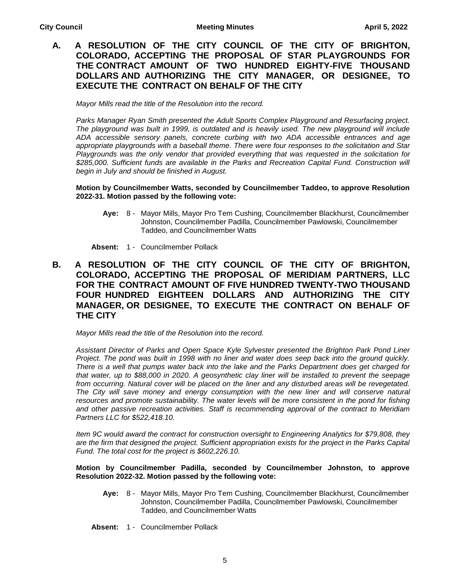## **A. A RESOLUTION OF THE CITY COUNCIL OF THE CITY OF BRIGHTON, COLORADO, ACCEPTING THE PROPOSAL OF STAR PLAYGROUNDS FOR THE CONTRACT AMOUNT OF TWO HUNDRED EIGHTY-FIVE THOUSAND DOLLARS AND AUTHORIZING THE CITY MANAGER, OR DESIGNEE, TO EXECUTE THE CONTRACT ON BEHALF OF THE CITY**

*Mayor Mills read the title of the Resolution into the record.*

*Parks Manager Ryan Smith presented the Adult Sports Complex Playground and Resurfacing project. The playground was built in 1999, is outdated and is heavily used. The new playground will include ADA accessible sensory panels, concrete curbing with two ADA accessible entrances and age appropriate playgrounds with a baseball theme. There were four responses to the solicitation and Star Playgrounds was the only vendor that provided everything that was requested in the solicitation for \$285,000. Sufficient funds are available in the Parks and Recreation Capital Fund. Construction will begin in July and should be finished in August.* 

#### **Motion by Councilmember Watts, seconded by Councilmember Taddeo, to approve Resolution 2022-31. Motion passed by the following vote:**

**Aye:** 8 - Mayor Mills, Mayor Pro Tem Cushing, Councilmember Blackhurst, Councilmember Johnston, Councilmember Padilla, Councilmember Pawlowski, Councilmember Taddeo, and Councilmember Watts

**Absent:** 1 - Councilmember Pollack

## **B. A RESOLUTION OF THE CITY COUNCIL OF THE CITY OF BRIGHTON, COLORADO, ACCEPTING THE PROPOSAL OF MERIDIAM PARTNERS, LLC FOR THE CONTRACT AMOUNT OF FIVE HUNDRED TWENTY-TWO THOUSAND FOUR HUNDRED EIGHTEEN DOLLARS AND AUTHORIZING THE CITY MANAGER, OR DESIGNEE, TO EXECUTE THE CONTRACT ON BEHALF OF THE CITY**

*Mayor Mills read the title of the Resolution into the record.*

*Assistant Director of Parks and Open Space Kyle Sylvester presented the Brighton Park Pond Liner Project. The pond was built in 1998 with no liner and water does seep back into the ground quickly. There is a well that pumps water back into the lake and the Parks Department does get charged for that water, up to \$88,000 in 2020. A geosynthetic clay liner will be installed to prevent the seepage from occurring. Natural cover will be placed on the liner and any disturbed areas will be revegetated. The City will save money and energy consumption with the new liner and will conserve natural resources and promote sustainability. The water levels will be more consistent in the pond for fishing and other passive recreation activities. Staff is recommending approval of the contract to Meridiam Partners LLC for \$522,418.10.* 

*Item 9C would award the contract for construction oversight to Engineering Analytics for \$79,808, they*  are the firm that designed the project. Sufficient appropriation exists for the project in the Parks Capital *Fund. The total cost for the project is \$602,226.10.*

#### **Motion by Councilmember Padilla, seconded by Councilmember Johnston, to approve Resolution 2022-32. Motion passed by the following vote:**

- **Aye:** 8 Mayor Mills, Mayor Pro Tem Cushing, Councilmember Blackhurst, Councilmember Johnston, Councilmember Padilla, Councilmember Pawlowski, Councilmember Taddeo, and Councilmember Watts
- **Absent:** 1 Councilmember Pollack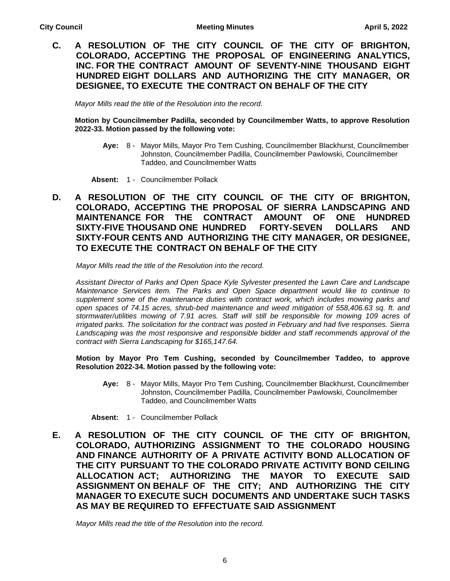**C. A RESOLUTION OF THE CITY COUNCIL OF THE CITY OF BRIGHTON, COLORADO, ACCEPTING THE PROPOSAL OF ENGINEERING ANALYTICS, INC. FOR THE CONTRACT AMOUNT OF SEVENTY-NINE THOUSAND EIGHT HUNDRED EIGHT DOLLARS AND AUTHORIZING THE CITY MANAGER, OR DESIGNEE, TO EXECUTE THE CONTRACT ON BEHALF OF THE CITY**

*Mayor Mills read the title of the Resolution into the record.*

**Motion by Councilmember Padilla, seconded by Councilmember Watts, to approve Resolution 2022-33. Motion passed by the following vote:**

- **Aye:** 8 Mayor Mills, Mayor Pro Tem Cushing, Councilmember Blackhurst, Councilmember Johnston, Councilmember Padilla, Councilmember Pawlowski, Councilmember Taddeo, and Councilmember Watts
- **Absent:** 1 Councilmember Pollack
- **D. A RESOLUTION OF THE CITY COUNCIL OF THE CITY OF BRIGHTON, COLORADO, ACCEPTING THE PROPOSAL OF SIERRA LANDSCAPING AND MAINTENANCE FOR THE CONTRACT AMOUNT OF ONE HUNDRED SIXTY-FIVE THOUSAND ONE HUNDRED FORTY-SEVEN DOLLARS AND SIXTY-FOUR CENTS AND AUTHORIZING THE CITY MANAGER, OR DESIGNEE, TO EXECUTE THE CONTRACT ON BEHALF OF THE CITY**

*Mayor Mills read the title of the Resolution into the record.*

*Assistant Director of Parks and Open Space Kyle Sylvester presented the Lawn Care and Landscape Maintenance Services item. The Parks and Open Space department would like to continue to supplement some of the maintenance duties with contract work, which includes mowing parks and open spaces of 74.15 acres, shrub-bed maintenance and weed mitigation of 558,406.63 sq. ft. and stormwater/utilities mowing of 7.91 acres. Staff will still be responsible for mowing 109 acres of irrigated parks. The solicitation for the contract was posted in February and had five responses. Sierra*  Landscaping was the most responsive and responsible bidder and staff recommends approval of the *contract with Sierra Landscaping for \$165,147.64.* 

**Motion by Mayor Pro Tem Cushing, seconded by Councilmember Taddeo, to approve Resolution 2022-34. Motion passed by the following vote:**

**Aye:** 8 - Mayor Mills, Mayor Pro Tem Cushing, Councilmember Blackhurst, Councilmember Johnston, Councilmember Padilla, Councilmember Pawlowski, Councilmember Taddeo, and Councilmember Watts

**Absent:** 1 - Councilmember Pollack

**E. A RESOLUTION OF THE CITY COUNCIL OF THE CITY OF BRIGHTON, COLORADO, AUTHORIZING ASSIGNMENT TO THE COLORADO HOUSING AND FINANCE AUTHORITY OF A PRIVATE ACTIVITY BOND ALLOCATION OF THE CITY PURSUANT TO THE COLORADO PRIVATE ACTIVITY BOND CEILING ALLOCATION ACT; AUTHORIZING THE MAYOR TO EXECUTE SAID ASSIGNMENT ON BEHALF OF THE CITY; AND AUTHORIZING THE CITY MANAGER TO EXECUTE SUCH DOCUMENTS AND UNDERTAKE SUCH TASKS AS MAY BE REQUIRED TO EFFECTUATE SAID ASSIGNMENT**

*Mayor Mills read the title of the Resolution into the record.*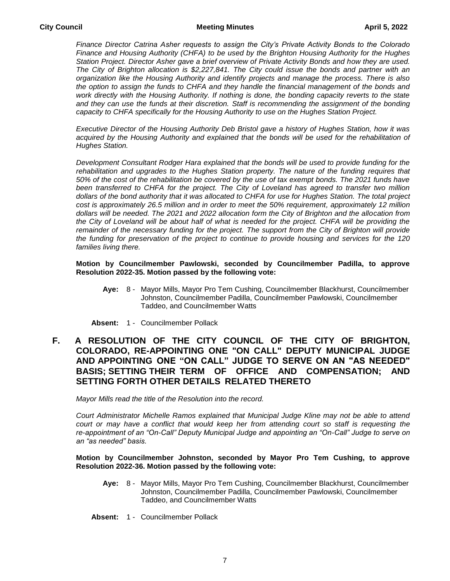*Finance Director Catrina Asher requests to assign the City's Private Activity Bonds to the Colorado Finance and Housing Authority (CHFA) to be used by the Brighton Housing Authority for the Hughes Station Project. Director Asher gave a brief overview of Private Activity Bonds and how they are used. The City of Brighton allocation is \$2,227,841. The City could issue the bonds and partner with an organization like the Housing Authority and identify projects and manage the process. There is also the option to assign the funds to CHFA and they handle the financial management of the bonds and work directly with the Housing Authority. If nothing is done, the bonding capacity reverts to the state*  and they can use the funds at their discretion. Staff is recommending the assignment of the bonding *capacity to CHFA specifically for the Housing Authority to use on the Hughes Station Project.* 

*Executive Director of the Housing Authority Deb Bristol gave a history of Hughes Station, how it was*  acquired by the Housing Authority and explained that the bonds will be used for the rehabilitation of *Hughes Station.* 

*Development Consultant Rodger Hara explained that the bonds will be used to provide funding for the*  rehabilitation and upgrades to the Hughes Station property. The nature of the funding requires that *50% of the cost of the rehabilitation be covered by the use of tax exempt bonds. The 2021 funds have been transferred to CHFA for the project. The City of Loveland has agreed to transfer two million dollars of the bond authority that it was allocated to CHFA for use for Hughes Station. The total project cost is approximately 26.5 million and in order to meet the 50% requirement, approximately 12 million dollars will be needed. The 2021 and 2022 allocation form the City of Brighton and the allocation from*  the City of Loveland will be about half of what is needed for the project. CHFA will be providing the *remainder of the necessary funding for the project. The support from the City of Brighton will provide the funding for preservation of the project to continue to provide housing and services for the 120 families living there.* 

#### **Motion by Councilmember Pawlowski, seconded by Councilmember Padilla, to approve Resolution 2022-35. Motion passed by the following vote:**

**Aye:** 8 - Mayor Mills, Mayor Pro Tem Cushing, Councilmember Blackhurst, Councilmember Johnston, Councilmember Padilla, Councilmember Pawlowski, Councilmember Taddeo, and Councilmember Watts

**Absent:** 1 - Councilmember Pollack

## **F. A RESOLUTION OF THE CITY COUNCIL OF THE CITY OF BRIGHTON, COLORADO, RE-APPOINTING ONE "ON CALL" DEPUTY MUNICIPAL JUDGE AND APPOINTING ONE "ON CALL" JUDGE TO SERVE ON AN "AS NEEDED" BASIS; SETTING THEIR TERM OF OFFICE AND COMPENSATION; AND SETTING FORTH OTHER DETAILS RELATED THERETO**

*Mayor Mills read the title of the Resolution into the record.*

*Court Administrator Michelle Ramos explained that Municipal Judge Kline may not be able to attend court or may have a conflict that would keep her from attending court so staff is requesting the re-appointment of an "On-Call" Deputy Municipal Judge and appointing an "On-Call" Judge to serve on an "as needed" basis.* 

#### **Motion by Councilmember Johnston, seconded by Mayor Pro Tem Cushing, to approve Resolution 2022-36. Motion passed by the following vote:**

- **Aye:** 8 Mayor Mills, Mayor Pro Tem Cushing, Councilmember Blackhurst, Councilmember Johnston, Councilmember Padilla, Councilmember Pawlowski, Councilmember Taddeo, and Councilmember Watts
- **Absent:** 1 Councilmember Pollack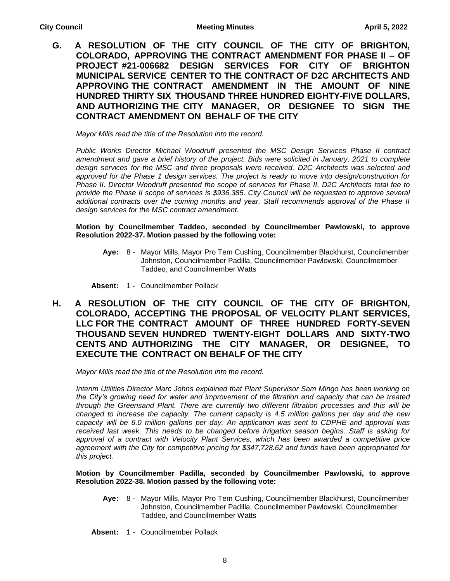**G. A RESOLUTION OF THE CITY COUNCIL OF THE CITY OF BRIGHTON, COLORADO, APPROVING THE CONTRACT AMENDMENT FOR PHASE II – OF PROJECT #21-006682 DESIGN SERVICES FOR CITY OF BRIGHTON MUNICIPAL SERVICE CENTER TO THE CONTRACT OF D2C ARCHITECTS AND APPROVING THE CONTRACT AMENDMENT IN THE AMOUNT OF NINE HUNDRED THIRTY SIX THOUSAND THREE HUNDRED EIGHTY-FIVE DOLLARS, AND AUTHORIZING THE CITY MANAGER, OR DESIGNEE TO SIGN THE CONTRACT AMENDMENT ON BEHALF OF THE CITY**

*Mayor Mills read the title of the Resolution into the record.*

*Public Works Director Michael Woodruff presented the MSC Design Services Phase II contract amendment and gave a brief history of the project. Bids were solicited in January, 2021 to complete design services for the MSC and three proposals were received. D2C Architects was selected and approved for the Phase 1 design services. The project is ready to move into design/construction for Phase II. Director Woodruff presented the scope of services for Phase II. D2C Architects total fee to provide the Phase II scope of services is \$936,385. City Council will be requested to approve several additional contracts over the coming months and year. Staff recommends approval of the Phase II design services for the MSC contract amendment.* 

**Motion by Councilmember Taddeo, seconded by Councilmember Pawlowski, to approve Resolution 2022-37. Motion passed by the following vote:**

**Aye:** 8 - Mayor Mills, Mayor Pro Tem Cushing, Councilmember Blackhurst, Councilmember Johnston, Councilmember Padilla, Councilmember Pawlowski, Councilmember Taddeo, and Councilmember Watts

**Absent:** 1 - Councilmember Pollack

**H. A RESOLUTION OF THE CITY COUNCIL OF THE CITY OF BRIGHTON, COLORADO, ACCEPTING THE PROPOSAL OF VELOCITY PLANT SERVICES, LLC FOR THE CONTRACT AMOUNT OF THREE HUNDRED FORTY-SEVEN THOUSAND SEVEN HUNDRED TWENTY-EIGHT DOLLARS AND SIXTY-TWO CENTS AND AUTHORIZING THE CITY MANAGER, OR DESIGNEE, TO EXECUTE THE CONTRACT ON BEHALF OF THE CITY**

*Mayor Mills read the title of the Resolution into the record.*

*Interim Utilities Director Marc Johns explained that Plant Supervisor Sam Mingo has been working on the City's growing need for water and improvement of the filtration and capacity that can be treated through the Greensand Plant. There are currently two different filtration processes and this will be changed to increase the capacity. The current capacity is 4.5 million gallons per day and the new capacity will be 6.0 million gallons per day. An application was sent to CDPHE and approval was received last week. This needs to be changed before irrigation season begins. Staff is asking for approval of a contract with Velocity Plant Services, which has been awarded a competitive price agreement with the City for competitive pricing for \$347,728.62 and funds have been appropriated for this project.*

**Motion by Councilmember Padilla, seconded by Councilmember Pawlowski, to approve Resolution 2022-38. Motion passed by the following vote:**

- **Aye:** 8 Mayor Mills, Mayor Pro Tem Cushing, Councilmember Blackhurst, Councilmember Johnston, Councilmember Padilla, Councilmember Pawlowski, Councilmember Taddeo, and Councilmember Watts
- **Absent:** 1 Councilmember Pollack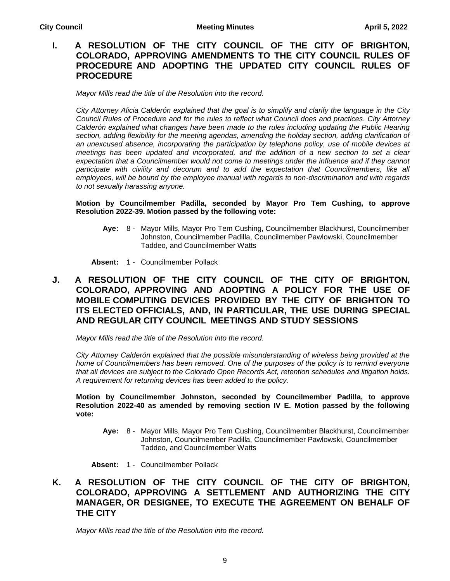## **I. A RESOLUTION OF THE CITY COUNCIL OF THE CITY OF BRIGHTON, COLORADO, APPROVING AMENDMENTS TO THE CITY COUNCIL RULES OF PROCEDURE AND ADOPTING THE UPDATED CITY COUNCIL RULES OF PROCEDURE**

*Mayor Mills read the title of the Resolution into the record.*

*City Attorney Alicia Calderón explained that the goal is to simplify and clarify the language in the City Council Rules of Procedure and for the rules to reflect what Council does and practices. City Attorney Calderón explained what changes have been made to the rules including updating the Public Hearing section, adding flexibility for the meeting agendas, amending the holiday section, adding clarification of an unexcused absence, incorporating the participation by telephone policy, use of mobile devices at meetings has been updated and incorporated, and the addition of a new section to set a clear expectation that a Councilmember would not come to meetings under the influence and if they cannot* participate with civility and decorum and to add the expectation that Councilmembers, like all *employees, will be bound by the employee manual with regards to non-discrimination and with regards to not sexually harassing anyone.* 

#### **Motion by Councilmember Padilla, seconded by Mayor Pro Tem Cushing, to approve Resolution 2022-39. Motion passed by the following vote:**

**Aye:** 8 - Mayor Mills, Mayor Pro Tem Cushing, Councilmember Blackhurst, Councilmember Johnston, Councilmember Padilla, Councilmember Pawlowski, Councilmember Taddeo, and Councilmember Watts

**Absent:** 1 - Councilmember Pollack

## **J. A RESOLUTION OF THE CITY COUNCIL OF THE CITY OF BRIGHTON, COLORADO, APPROVING AND ADOPTING A POLICY FOR THE USE OF MOBILE COMPUTING DEVICES PROVIDED BY THE CITY OF BRIGHTON TO ITS ELECTED OFFICIALS, AND, IN PARTICULAR, THE USE DURING SPECIAL AND REGULAR CITY COUNCIL MEETINGS AND STUDY SESSIONS**

*Mayor Mills read the title of the Resolution into the record.*

*City Attorney Calderón explained that the possible misunderstanding of wireless being provided at the*  home of Councilmembers has been removed. One of the purposes of the policy is to remind everyone *that all devices are subject to the Colorado Open Records Act, retention schedules and litigation holds. A requirement for returning devices has been added to the policy.* 

#### **Motion by Councilmember Johnston, seconded by Councilmember Padilla, to approve Resolution 2022-40 as amended by removing section IV E. Motion passed by the following vote:**

**Aye:** 8 - Mayor Mills, Mayor Pro Tem Cushing, Councilmember Blackhurst, Councilmember Johnston, Councilmember Padilla, Councilmember Pawlowski, Councilmember Taddeo, and Councilmember Watts

**Absent:** 1 - Councilmember Pollack

## **K. A RESOLUTION OF THE CITY COUNCIL OF THE CITY OF BRIGHTON, COLORADO, APPROVING A SETTLEMENT AND AUTHORIZING THE CITY MANAGER, OR DESIGNEE, TO EXECUTE THE AGREEMENT ON BEHALF OF THE CITY**

*Mayor Mills read the title of the Resolution into the record.*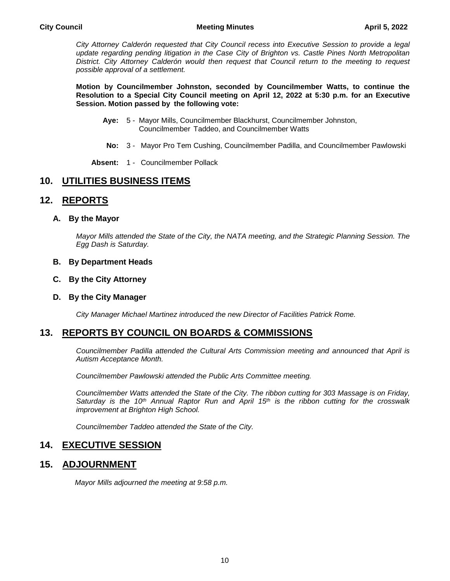#### **City Council Meeting Minutes April 5, 2022**

*City Attorney Calderón requested that City Council recess into Executive Session to provide a legal update regarding pending litigation in the Case City of Brighton vs. Castle Pines North Metropolitan District. City Attorney Calderón would then request that Council return to the meeting to request possible approval of a settlement.* 

**Motion by Councilmember Johnston, seconded by Councilmember Watts, to continue the Resolution to a Special City Council meeting on April 12, 2022 at 5:30 p.m. for an Executive Session. Motion passed by the following vote:**

- **Aye:** 5 Mayor Mills, Councilmember Blackhurst, Councilmember Johnston, Councilmember Taddeo, and Councilmember Watts
- **No:** 3 Mayor Pro Tem Cushing, Councilmember Padilla, and Councilmember Pawlowski

**Absent:** 1 - Councilmember Pollack

## **10. UTILITIES BUSINESS ITEMS**

## **12. REPORTS**

#### **A. By the Mayor**

*Mayor Mills attended the State of the City, the NATA meeting, and the Strategic Planning Session. The Egg Dash is Saturday.*

#### **B. By Department Heads**

#### **C. By the City Attorney**

#### **D. By the City Manager**

*City Manager Michael Martinez introduced the new Director of Facilities Patrick Rome.*

## **13. REPORTS BY COUNCIL ON BOARDS & COMMISSIONS**

*Councilmember Padilla attended the Cultural Arts Commission meeting and announced that April is Autism Acceptance Month.*

*Councilmember Pawlowski attended the Public Arts Committee meeting.*

*Councilmember Watts attended the State of the City. The ribbon cutting for 303 Massage is on Friday, Saturday is the 10th Annual Raptor Run and April 15th is the ribbon cutting for the crosswalk improvement at Brighton High School.*

*Councilmember Taddeo attended the State of the City.*

## **14. EXECUTIVE SESSION**

## **15. ADJOURNMENT**

*Mayor Mills adjourned the meeting at 9:58 p.m.*